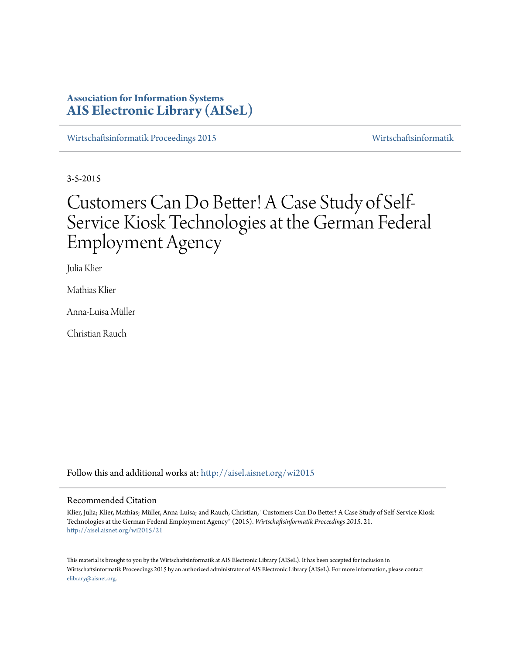# **Association for Information Systems [AIS Electronic Library \(AISeL\)](http://aisel.aisnet.org?utm_source=aisel.aisnet.org%2Fwi2015%2F21&utm_medium=PDF&utm_campaign=PDFCoverPages)**

[Wirtschaftsinformatik Proceedings 2015](http://aisel.aisnet.org/wi2015?utm_source=aisel.aisnet.org%2Fwi2015%2F21&utm_medium=PDF&utm_campaign=PDFCoverPages) [Wirtschaftsinformatik](http://aisel.aisnet.org/wi?utm_source=aisel.aisnet.org%2Fwi2015%2F21&utm_medium=PDF&utm_campaign=PDFCoverPages)

3-5-2015

# Customers Can Do Better! A Case Study of Self-Service Kiosk Technologies at the German Federal Employment Agency

Julia Klier

Mathias Klier

Anna-Luisa Müller

Christian Rauch

Follow this and additional works at: [http://aisel.aisnet.org/wi2015](http://aisel.aisnet.org/wi2015?utm_source=aisel.aisnet.org%2Fwi2015%2F21&utm_medium=PDF&utm_campaign=PDFCoverPages)

#### Recommended Citation

Klier, Julia; Klier, Mathias; Müller, Anna-Luisa; and Rauch, Christian, "Customers Can Do Better! A Case Study of Self-Service Kiosk Technologies at the German Federal Employment Agency" (2015). *Wirtschaftsinformatik Proceedings 2015*. 21. [http://aisel.aisnet.org/wi2015/21](http://aisel.aisnet.org/wi2015/21?utm_source=aisel.aisnet.org%2Fwi2015%2F21&utm_medium=PDF&utm_campaign=PDFCoverPages)

This material is brought to you by the Wirtschaftsinformatik at AIS Electronic Library (AISeL). It has been accepted for inclusion in Wirtschaftsinformatik Proceedings 2015 by an authorized administrator of AIS Electronic Library (AISeL). For more information, please contact [elibrary@aisnet.org.](mailto:elibrary@aisnet.org%3E)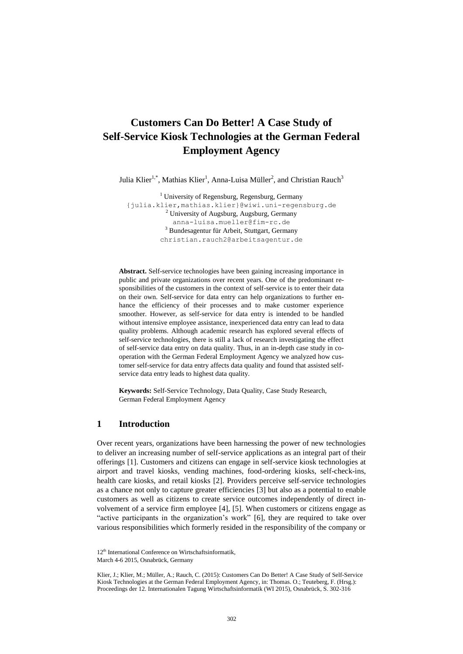# **Customers Can Do Better! A Case Study of Self-Service Kiosk Technologies at the German Federal Employment Agency**

Julia Klier<sup>1,\*</sup>, Mathias Klier<sup>1</sup>, Anna-Luisa Müller<sup>2</sup>, and Christian Rauch<sup>3</sup>

<sup>1</sup> University of Regensburg, Regensburg, Germany {julia.klier,mathias.klier}@wiwi.uni-regensburg.de <sup>2</sup> University of Augsburg, Augsburg, Germany anna-luisa.mueller@fim-rc.de <sup>3</sup> Bundesagentur für Arbeit, Stuttgart, Germany christian.rauch2@arbeitsagentur.de

**Abstract.** Self-service technologies have been gaining increasing importance in public and private organizations over recent years. One of the predominant responsibilities of the customers in the context of self-service is to enter their data on their own. Self-service for data entry can help organizations to further enhance the efficiency of their processes and to make customer experience smoother. However, as self-service for data entry is intended to be handled without intensive employee assistance, inexperienced data entry can lead to data quality problems. Although academic research has explored several effects of self-service technologies, there is still a lack of research investigating the effect of self-service data entry on data quality. Thus, in an in-depth case study in cooperation with the German Federal Employment Agency we analyzed how customer self-service for data entry affects data quality and found that assisted selfservice data entry leads to highest data quality.

**Keywords:** Self-Service Technology, Data Quality, Case Study Research, German Federal Employment Agency

#### **1 Introduction**

Over recent years, organizations have been harnessing the power of new technologies to deliver an increasing number of self-service applications as an integral part of their offerings [1]. Customers and citizens can engage in self-service kiosk technologies at airport and travel kiosks, vending machines, food-ordering kiosks, self-check-ins, health care kiosks, and retail kiosks [2]. Providers perceive self-service technologies as a chance not only to capture greater efficiencies [3] but also as a potential to enable customers as well as citizens to create service outcomes independently of direct involvement of a service firm employee [4], [5]. When customers or citizens engage as "active participants in the organization's work" [6], they are required to take over various responsibilities which formerly resided in the responsibility of the company or

<sup>12&</sup>lt;sup>th</sup> International Conference on Wirtschaftsinformatik,

March 4-6 2015, Osnabrück, Germany

Klier, J.; Klier, M.; Müller, A.; Rauch, C. (2015): Customers Can Do Better! A Case Study of Self-Service Kiosk Technologies at the German Federal Employment Agency, in: Thomas. O.; Teuteberg, F. (Hrsg.): Proceedings der 12. Internationalen Tagung Wirtschaftsinformatik (WI 2015), Osnabrück, S. 302-316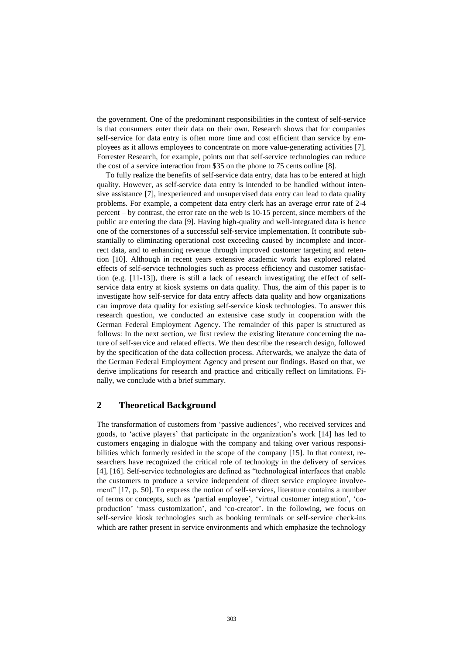the government. One of the predominant responsibilities in the context of self-service is that consumers enter their data on their own. Research shows that for companies self-service for data entry is often more time and cost efficient than service by employees as it allows employees to concentrate on more value-generating activities [7]. Forrester Research, for example, points out that self-service technologies can reduce the cost of a service interaction from \$35 on the phone to 75 cents online [8].

To fully realize the benefits of self-service data entry, data has to be entered at high quality. However, as self-service data entry is intended to be handled without intensive assistance [7], inexperienced and unsupervised data entry can lead to data quality problems. For example, a competent data entry clerk has an average error rate of 2-4 percent – by contrast, the error rate on the web is 10-15 percent, since members of the public are entering the data [9]. Having high-quality and well-integrated data is hence one of the cornerstones of a successful self-service implementation. It contribute substantially to eliminating operational cost exceeding caused by incomplete and incorrect data, and to enhancing revenue through improved customer targeting and retention [10]. Although in recent years extensive academic work has explored related effects of self-service technologies such as process efficiency and customer satisfaction (e.g. [11-13]), there is still a lack of research investigating the effect of selfservice data entry at kiosk systems on data quality. Thus, the aim of this paper is to investigate how self-service for data entry affects data quality and how organizations can improve data quality for existing self-service kiosk technologies. To answer this research question, we conducted an extensive case study in cooperation with the German Federal Employment Agency. The remainder of this paper is structured as follows: In the next section, we first review the existing literature concerning the nature of self-service and related effects. We then describe the research design, followed by the specification of the data collection process. Afterwards, we analyze the data of the German Federal Employment Agency and present our findings. Based on that, we derive implications for research and practice and critically reflect on limitations. Finally, we conclude with a brief summary.

## **2 Theoretical Background**

The transformation of customers from 'passive audiences', who received services and goods, to 'active players' that participate in the organization's work [14] has led to customers engaging in dialogue with the company and taking over various responsibilities which formerly resided in the scope of the company [15]. In that context, researchers have recognized the critical role of technology in the delivery of services [4], [16]. Self-service technologies are defined as "technological interfaces that enable the customers to produce a service independent of direct service employee involvement" [17, p. 50]. To express the notion of self-services, literature contains a number of terms or concepts, such as 'partial employee', 'virtual customer integration', 'coproduction' 'mass customization', and 'co-creator'. In the following, we focus on self-service kiosk technologies such as booking terminals or self-service check-ins which are rather present in service environments and which emphasize the technology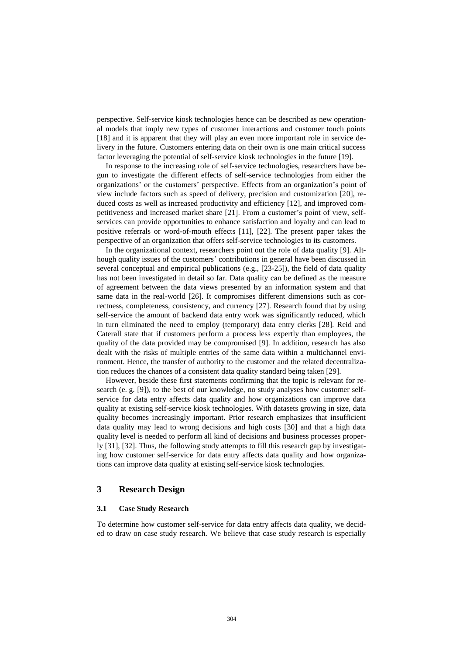perspective. Self-service kiosk technologies hence can be described as new operational models that imply new types of customer interactions and customer touch points [18] and it is apparent that they will play an even more important role in service delivery in the future. Customers entering data on their own is one main critical success factor leveraging the potential of self-service kiosk technologies in the future [19].

In response to the increasing role of self-service technologies, researchers have begun to investigate the different effects of self-service technologies from either the organizations' or the customers' perspective. Effects from an organization's point of view include factors such as speed of delivery, precision and customization [20], reduced costs as well as increased productivity and efficiency [12], and improved competitiveness and increased market share [21]. From a customer's point of view, selfservices can provide opportunities to enhance satisfaction and loyalty and can lead to positive referrals or word-of-mouth effects [11], [22]. The present paper takes the perspective of an organization that offers self-service technologies to its customers.

In the organizational context, researchers point out the role of data quality [9]. Although quality issues of the customers' contributions in general have been discussed in several conceptual and empirical publications (e.g., [23-25]), the field of data quality has not been investigated in detail so far. Data quality can be defined as the measure of agreement between the data views presented by an information system and that same data in the real-world [26]. It compromises different dimensions such as correctness, completeness, consistency, and currency [27]. Research found that by using self-service the amount of backend data entry work was significantly reduced, which in turn eliminated the need to employ (temporary) data entry clerks [28]. Reid and Caterall state that if customers perform a process less expertly than employees, the quality of the data provided may be compromised [9]. In addition, research has also dealt with the risks of multiple entries of the same data within a multichannel environment. Hence, the transfer of authority to the customer and the related decentralization reduces the chances of a consistent data quality standard being taken [29].

However, beside these first statements confirming that the topic is relevant for research (e. g. [9]), to the best of our knowledge, no study analyses how customer selfservice for data entry affects data quality and how organizations can improve data quality at existing self-service kiosk technologies. With datasets growing in size, data quality becomes increasingly important. Prior research emphasizes that insufficient data quality may lead to wrong decisions and high costs [30] and that a high data quality level is needed to perform all kind of decisions and business processes properly [31], [32]. Thus, the following study attempts to fill this research gap by investigating how customer self-service for data entry affects data quality and how organizations can improve data quality at existing self-service kiosk technologies.

## **3 Research Design**

#### **3.1 Case Study Research**

To determine how customer self-service for data entry affects data quality, we decided to draw on case study research. We believe that case study research is especially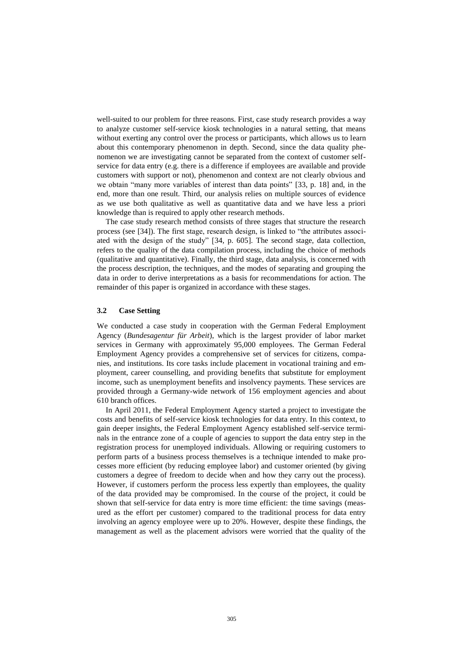well-suited to our problem for three reasons. First, case study research provides a way to analyze customer self-service kiosk technologies in a natural setting, that means without exerting any control over the process or participants, which allows us to learn about this contemporary phenomenon in depth. Second, since the data quality phenomenon we are investigating cannot be separated from the context of customer selfservice for data entry (e.g. there is a difference if employees are available and provide customers with support or not), phenomenon and context are not clearly obvious and we obtain "many more variables of interest than data points" [33, p. 18] and, in the end, more than one result. Third, our analysis relies on multiple sources of evidence as we use both qualitative as well as quantitative data and we have less a priori knowledge than is required to apply other research methods.

The case study research method consists of three stages that structure the research process (see [34]). The first stage, research design, is linked to "the attributes associated with the design of the study" [34, p. 605]. The second stage, data collection, refers to the quality of the data compilation process, including the choice of methods (qualitative and quantitative). Finally, the third stage, data analysis, is concerned with the process description, the techniques, and the modes of separating and grouping the data in order to derive interpretations as a basis for recommendations for action. The remainder of this paper is organized in accordance with these stages.

#### **3.2 Case Setting**

We conducted a case study in cooperation with the German Federal Employment Agency (*Bundesagentur für Arbeit*), which is the largest provider of labor market services in Germany with approximately 95,000 employees. The German Federal Employment Agency provides a comprehensive set of services for citizens, companies, and institutions. Its core tasks include placement in vocational training and employment, career counselling, and providing benefits that substitute for employment income, such as unemployment benefits and insolvency payments. These services are provided through a Germany-wide network of 156 employment agencies and about 610 branch offices.

In April 2011, the Federal Employment Agency started a project to investigate the costs and benefits of self-service kiosk technologies for data entry. In this context, to gain deeper insights, the Federal Employment Agency established self-service terminals in the entrance zone of a couple of agencies to support the data entry step in the registration process for unemployed individuals. Allowing or requiring customers to perform parts of a business process themselves is a technique intended to make processes more efficient (by reducing employee labor) and customer oriented (by giving customers a degree of freedom to decide when and how they carry out the process). However, if customers perform the process less expertly than employees, the quality of the data provided may be compromised. In the course of the project, it could be shown that self-service for data entry is more time efficient: the time savings (measured as the effort per customer) compared to the traditional process for data entry involving an agency employee were up to 20%. However, despite these findings, the management as well as the placement advisors were worried that the quality of the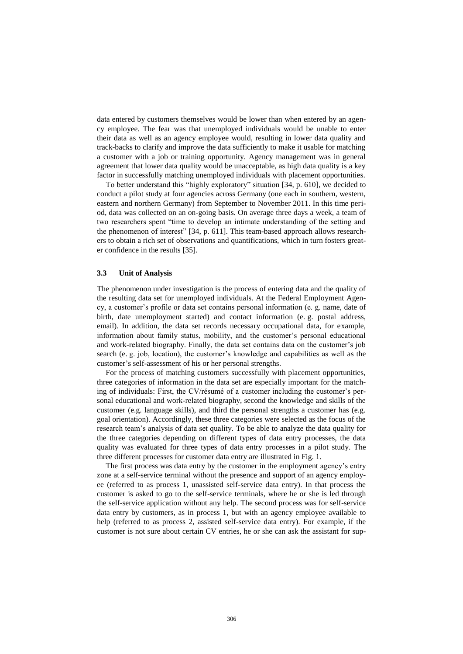data entered by customers themselves would be lower than when entered by an agency employee. The fear was that unemployed individuals would be unable to enter their data as well as an agency employee would, resulting in lower data quality and track-backs to clarify and improve the data sufficiently to make it usable for matching a customer with a job or training opportunity. Agency management was in general agreement that lower data quality would be unacceptable, as high data quality is a key factor in successfully matching unemployed individuals with placement opportunities.

To better understand this "highly exploratory" situation [34, p. 610], we decided to conduct a pilot study at four agencies across Germany (one each in southern, western, eastern and northern Germany) from September to November 2011. In this time period, data was collected on an on-going basis. On average three days a week, a team of two researchers spent "time to develop an intimate understanding of the setting and the phenomenon of interest" [34, p. 611]. This team-based approach allows researchers to obtain a rich set of observations and quantifications, which in turn fosters greater confidence in the results [35].

#### **3.3 Unit of Analysis**

The phenomenon under investigation is the process of entering data and the quality of the resulting data set for unemployed individuals. At the Federal Employment Agency, a customer's profile or data set contains personal information (e. g. name, date of birth, date unemployment started) and contact information (e. g. postal address, email). In addition, the data set records necessary occupational data, for example, information about family status, mobility, and the customer's personal educational and work-related biography. Finally, the data set contains data on the customer's job search (e. g. job, location), the customer's knowledge and capabilities as well as the customer's self-assessment of his or her personal strengths.

For the process of matching customers successfully with placement opportunities, three categories of information in the data set are especially important for the matching of individuals: First, the CV/résumé of a customer including the customer's personal educational and work-related biography, second the knowledge and skills of the customer (e.g. language skills), and third the personal strengths a customer has (e.g. goal orientation). Accordingly, these three categories were selected as the focus of the research team's analysis of data set quality. To be able to analyze the data quality for the three categories depending on different types of data entry processes, the data quality was evaluated for three types of data entry processes in a pilot study. The three different processes for customer data entry are illustrated in Fig. 1.

The first process was data entry by the customer in the employment agency's entry zone at a self-service terminal without the presence and support of an agency employee (referred to as process 1, unassisted self-service data entry). In that process the customer is asked to go to the self-service terminals, where he or she is led through the self-service application without any help. The second process was for self-service data entry by customers, as in process 1, but with an agency employee available to help (referred to as process 2, assisted self-service data entry). For example, if the customer is not sure about certain CV entries, he or she can ask the assistant for sup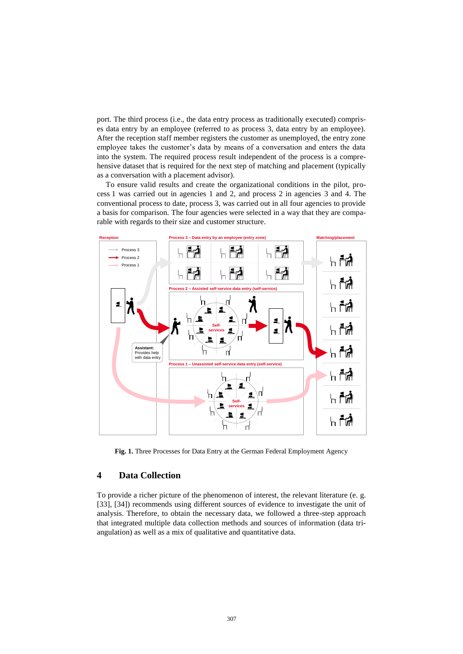port. The third process (i.e., the data entry process as traditionally executed) comprises data entry by an employee (referred to as process 3, data entry by an employee). After the reception staff member registers the customer as unemployed, the entry zone employee takes the customer's data by means of a conversation and enters the data into the system. The required process result independent of the process is a comprehensive dataset that is required for the next step of matching and placement (typically as a conversation with a placement advisor).

To ensure valid results and create the organizational conditions in the pilot, process 1 was carried out in agencies 1 and 2, and process 2 in agencies 3 and 4. The conventional process to date, process 3, was carried out in all four agencies to provide a basis for comparison. The four agencies were selected in a way that they are comparable with regards to their size and customer structure.



**Fig. 1.** Three Processes for Data Entry at the German Federal Employment Agency

#### **4 Data Collection**

To provide a richer picture of the phenomenon of interest, the relevant literature (e. g. [33], [34]) recommends using different sources of evidence to investigate the unit of analysis. Therefore, to obtain the necessary data, we followed a three-step approach that integrated multiple data collection methods and sources of information (data triangulation) as well as a mix of qualitative and quantitative data.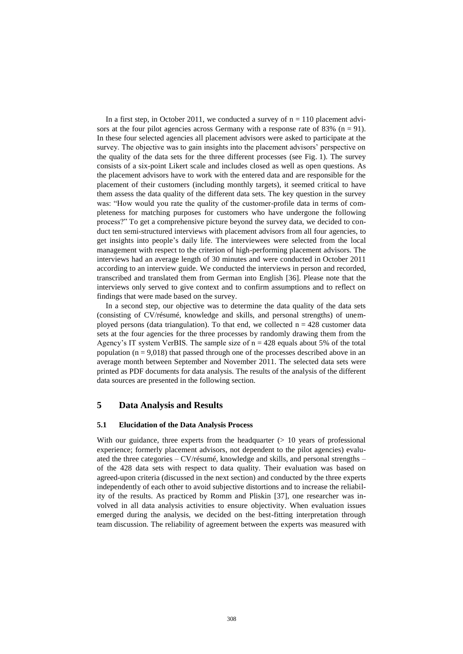In a first step, in October 2011, we conducted a survey of  $n = 110$  placement advisors at the four pilot agencies across Germany with a response rate of  $83\%$  (n = 91). In these four selected agencies all placement advisors were asked to participate at the survey. The objective was to gain insights into the placement advisors' perspective on the quality of the data sets for the three different processes (see Fig. 1). The survey consists of a six-point Likert scale and includes closed as well as open questions. As the placement advisors have to work with the entered data and are responsible for the placement of their customers (including monthly targets), it seemed critical to have them assess the data quality of the different data sets. The key question in the survey was: "How would you rate the quality of the customer-profile data in terms of completeness for matching purposes for customers who have undergone the following process?" To get a comprehensive picture beyond the survey data, we decided to conduct ten semi-structured interviews with placement advisors from all four agencies, to get insights into people's daily life. The interviewees were selected from the local management with respect to the criterion of high-performing placement advisors. The interviews had an average length of 30 minutes and were conducted in October 2011 according to an interview guide. We conducted the interviews in person and recorded, transcribed and translated them from German into English [36]. Please note that the interviews only served to give context and to confirm assumptions and to reflect on findings that were made based on the survey.

In a second step, our objective was to determine the data quality of the data sets (consisting of CV/résumé, knowledge and skills, and personal strengths) of unemployed persons (data triangulation). To that end, we collected  $n = 428$  customer data sets at the four agencies for the three processes by randomly drawing them from the Agency's IT system VerBIS. The sample size of  $n = 428$  equals about 5% of the total population ( $n = 9.018$ ) that passed through one of the processes described above in an average month between September and November 2011. The selected data sets were printed as PDF documents for data analysis. The results of the analysis of the different data sources are presented in the following section.

#### **5 Data Analysis and Results**

#### **5.1 Elucidation of the Data Analysis Process**

With our guidance, three experts from the headquarter  $(> 10$  years of professional experience; formerly placement advisors, not dependent to the pilot agencies) evaluated the three categories – CV/résumé, knowledge and skills, and personal strengths – of the 428 data sets with respect to data quality. Their evaluation was based on agreed-upon criteria (discussed in the next section) and conducted by the three experts independently of each other to avoid subjective distortions and to increase the reliability of the results. As practiced by Romm and Pliskin [37], one researcher was involved in all data analysis activities to ensure objectivity. When evaluation issues emerged during the analysis, we decided on the best-fitting interpretation through team discussion. The reliability of agreement between the experts was measured with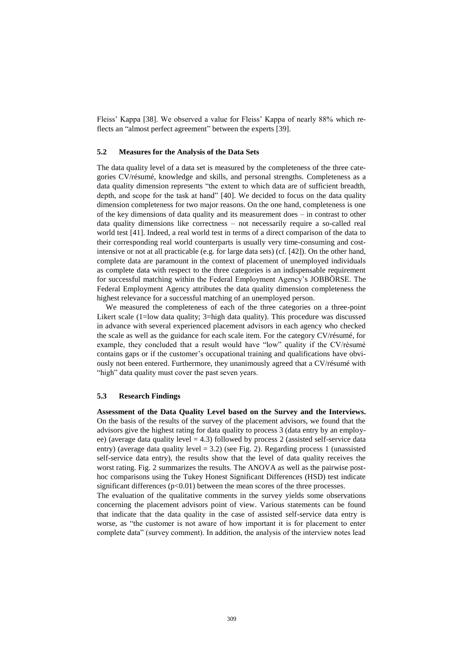Fleiss' Kappa [38]. We observed a value for Fleiss' Kappa of nearly 88% which reflects an "almost perfect agreement" between the experts [39].

#### **5.2 Measures for the Analysis of the Data Sets**

The data quality level of a data set is measured by the completeness of the three categories CV/résumé, knowledge and skills, and personal strengths. Completeness as a data quality dimension represents "the extent to which data are of sufficient breadth, depth, and scope for the task at hand" [40]. We decided to focus on the data quality dimension completeness for two major reasons. On the one hand, completeness is one of the key dimensions of data quality and its measurement does – in contrast to other data quality dimensions like correctness – not necessarily require a so-called real world test [41]. Indeed, a real world test in terms of a direct comparison of the data to their corresponding real world counterparts is usually very time-consuming and costintensive or not at all practicable (e.g. for large data sets) (cf. [42]). On the other hand, complete data are paramount in the context of placement of unemployed individuals as complete data with respect to the three categories is an indispensable requirement for successful matching within the Federal Employment Agency's JOBBÖRSE. The Federal Employment Agency attributes the data quality dimension completeness the highest relevance for a successful matching of an unemployed person.

We measured the completeness of each of the three categories on a three-point Likert scale (1=low data quality; 3=high data quality). This procedure was discussed in advance with several experienced placement advisors in each agency who checked the scale as well as the guidance for each scale item. For the category CV/résumé, for example, they concluded that a result would have "low" quality if the CV/résumé contains gaps or if the customer's occupational training and qualifications have obviously not been entered. Furthermore, they unanimously agreed that a CV/résumé with "high" data quality must cover the past seven years.

#### **5.3 Research Findings**

**Assessment of the Data Quality Level based on the Survey and the Interviews.** On the basis of the results of the survey of the placement advisors, we found that the advisors give the highest rating for data quality to process 3 (data entry by an employee) (average data quality level  $= 4.3$ ) followed by process 2 (assisted self-service data entry) (average data quality level  $= 3.2$ ) (see Fig. 2). Regarding process 1 (unassisted self-service data entry), the results show that the level of data quality receives the worst rating. Fig. 2 summarizes the results. The ANOVA as well as the pairwise posthoc comparisons using the Tukey Honest Significant Differences (HSD) test indicate significant differences  $(p<0.01)$  between the mean scores of the three processes.

The evaluation of the qualitative comments in the survey yields some observations concerning the placement advisors point of view. Various statements can be found that indicate that the data quality in the case of assisted self-service data entry is worse, as "the customer is not aware of how important it is for placement to enter complete data" (survey comment). In addition, the analysis of the interview notes lead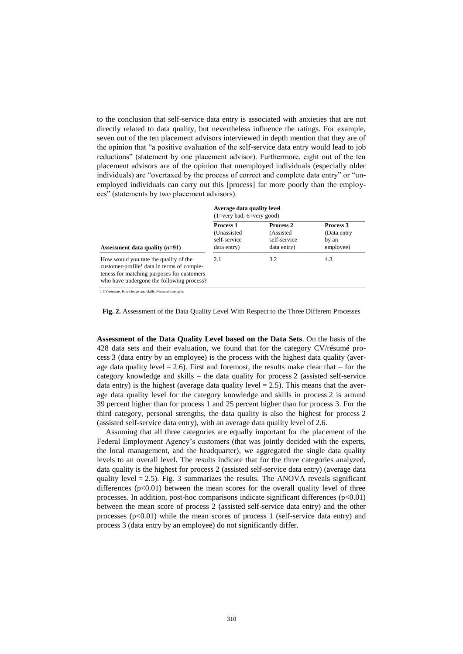to the conclusion that self-service data entry is associated with anxieties that are not directly related to data quality, but nevertheless influence the ratings. For example, seven out of the ten placement advisors interviewed in depth mention that they are of the opinion that "a positive evaluation of the self-service data entry would lead to job reductions" (statement by one placement advisor). Furthermore, eight out of the ten placement advisors are of the opinion that unemployed individuals (especially older individuals) are "overtaxed by the process of correct and complete data entry" or "unemployed individuals can carry out this [process] far more poorly than the employees" (statements by two placement advisors).

|                                                                                                                                                                                            | Average data quality level<br>$(1=very bad; 6=very good)$       |                                                        |                                                |  |
|--------------------------------------------------------------------------------------------------------------------------------------------------------------------------------------------|-----------------------------------------------------------------|--------------------------------------------------------|------------------------------------------------|--|
| Assessment data quality $(n=91)$                                                                                                                                                           | <b>Process 1</b><br>(Unassisted)<br>self-service<br>data entry) | Process 2<br>(Assisted)<br>self-service<br>data entry) | Process 3<br>(Data entry<br>by an<br>employee) |  |
| How would you rate the quality of the<br>customer-profile <sup>1</sup> data in terms of comple-<br>teness for matching purposes for customers<br>who have undergone the following process? | 2.1                                                             | 3.2                                                    | 4.3                                            |  |

1 CV/résumé, Knowledge and skills, Personal strengths

**Fig. 2.** Assessment of the Data Quality Level With Respect to the Three Different Processes

**Assessment of the Data Quality Level based on the Data Sets**. On the basis of the 428 data sets and their evaluation, we found that for the category CV/résumé process 3 (data entry by an employee) is the process with the highest data quality (average data quality level  $= 2.6$ ). First and foremost, the results make clear that – for the category knowledge and skills – the data quality for process 2 (assisted self-service data entry) is the highest (average data quality level  $= 2.5$ ). This means that the average data quality level for the category knowledge and skills in process 2 is around 39 percent higher than for process 1 and 25 percent higher than for process 3. For the third category, personal strengths, the data quality is also the highest for process 2 (assisted self-service data entry), with an average data quality level of 2.6.

Assuming that all three categories are equally important for the placement of the Federal Employment Agency's customers (that was jointly decided with the experts, the local management, and the headquarter), we aggregated the single data quality levels to an overall level. The results indicate that for the three categories analyzed, data quality is the highest for process 2 (assisted self-service data entry) (average data quality level  $= 2.5$ ). Fig. 3 summarizes the results. The ANOVA reveals significant differences  $(p<0.01)$  between the mean scores for the overall quality level of three processes. In addition, post-hoc comparisons indicate significant differences  $(p<0.01)$ between the mean score of process 2 (assisted self-service data entry) and the other processes  $(p<0.01)$  while the mean scores of process 1 (self-service data entry) and process 3 (data entry by an employee) do not significantly differ.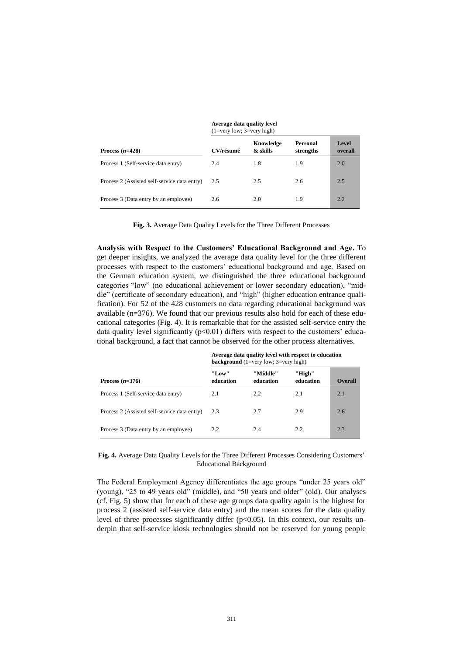|                                              | $(1=V)$ ery IOW; $3=V$ ery Ingn |                       |                       |                  |
|----------------------------------------------|---------------------------------|-----------------------|-----------------------|------------------|
| Process $(n=428)$                            | CV/résumé                       | Knowledge<br>& skills | Personal<br>strengths | Level<br>overall |
| Process 1 (Self-service data entry)          | 2.4                             | 1.8                   | 1.9                   | 2.0              |
| Process 2 (Assisted self-service data entry) | 2.5                             | 2.5                   | 2.6                   | 2.5              |
| Process 3 (Data entry by an employee)        | 2.6                             | 2.0                   | 1.9                   | 2.2              |

#### **Average data quality level** (1=very low; 3=very high)

**Fig. 3.** Average Data Quality Levels for the Three Different Processes

**Analysis with Respect to the Customers' Educational Background and Age.** To get deeper insights, we analyzed the average data quality level for the three different processes with respect to the customers' educational background and age. Based on the German education system, we distinguished the three educational background categories "low" (no educational achievement or lower secondary education), "middle" (certificate of secondary education), and "high" (higher education entrance qualification). For 52 of the 428 customers no data regarding educational background was available (n=376). We found that our previous results also hold for each of these educational categories (Fig. 4). It is remarkable that for the assisted self-service entry the data quality level significantly  $(p<0.01)$  differs with respect to the customers' educational background, a fact that cannot be observed for the other process alternatives.

|                                              | <b>background</b> $(1=very low; 3=very high)$ |                       |                     |                |
|----------------------------------------------|-----------------------------------------------|-----------------------|---------------------|----------------|
| Process $(n=376)$                            | "Low"<br>education                            | "Middle"<br>education | "High"<br>education | <b>Overall</b> |
| Process 1 (Self-service data entry)          | 2.1                                           | 2.2                   | 2.1                 | 2.1            |
| Process 2 (Assisted self-service data entry) | 2.3                                           | 2.7                   | 2.9                 | 2.6            |
| Process 3 (Data entry by an employee)        | 2.2                                           | 2.4                   | 2.2                 | 2.3            |

**Average data quality level with respect to education** 

**Fig. 4.** Average Data Quality Levels for the Three Different Processes Considering Customers' Educational Background

The Federal Employment Agency differentiates the age groups "under 25 years old" (young), "25 to 49 years old" (middle), and "50 years and older" (old). Our analyses (cf. Fig. 5) show that for each of these age groups data quality again is the highest for process 2 (assisted self-service data entry) and the mean scores for the data quality level of three processes significantly differ  $(p<0.05)$ . In this context, our results underpin that self-service kiosk technologies should not be reserved for young people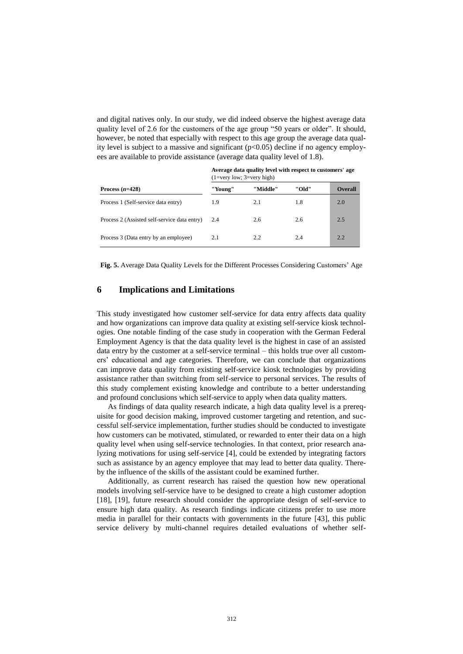and digital natives only. In our study, we did indeed observe the highest average data quality level of 2.6 for the customers of the age group "50 years or older". It should, however, be noted that especially with respect to this age group the average data quality level is subject to a massive and significant  $(p<0.05)$  decline if no agency employees are available to provide assistance (average data quality level of 1.8).

| $(1=V$ ery Iow; $3=V$ ery nigh) |          |       |                |
|---------------------------------|----------|-------|----------------|
| "Young"                         | "Middle" | "Old" | <b>Overall</b> |
| 1.9                             | 2.1      | 1.8   | 2.0            |
| 2.4                             | 2.6      | 2.6   | 2.5            |
| 2.1                             | 2.2      | 2.4   | 2.2            |
|                                 |          |       |                |

**Average data quality level with respect to customers' age** (1=very low; 3=very high)

**Fig. 5.** Average Data Quality Levels for the Different Processes Considering Customers' Age

#### **6 Implications and Limitations**

This study investigated how customer self-service for data entry affects data quality and how organizations can improve data quality at existing self-service kiosk technologies. One notable finding of the case study in cooperation with the German Federal Employment Agency is that the data quality level is the highest in case of an assisted data entry by the customer at a self-service terminal – this holds true over all customers' educational and age categories. Therefore, we can conclude that organizations can improve data quality from existing self-service kiosk technologies by providing assistance rather than switching from self-service to personal services. The results of this study complement existing knowledge and contribute to a better understanding and profound conclusions which self-service to apply when data quality matters.

As findings of data quality research indicate, a high data quality level is a prerequisite for good decision making, improved customer targeting and retention, and successful self-service implementation, further studies should be conducted to investigate how customers can be motivated, stimulated, or rewarded to enter their data on a high quality level when using self-service technologies. In that context, prior research analyzing motivations for using self-service [4], could be extended by integrating factors such as assistance by an agency employee that may lead to better data quality. Thereby the influence of the skills of the assistant could be examined further.

Additionally, as current research has raised the question how new operational models involving self-service have to be designed to create a high customer adoption [18], [19], future research should consider the appropriate design of self-service to ensure high data quality. As research findings indicate citizens prefer to use more media in parallel for their contacts with governments in the future [43], this public service delivery by multi-channel requires detailed evaluations of whether self-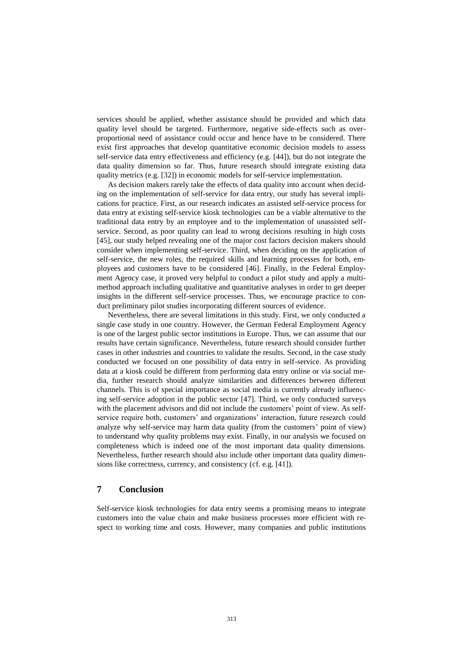services should be applied, whether assistance should be provided and which data quality level should be targeted. Furthermore, negative side-effects such as overproportional need of assistance could occur and hence have to be considered. There exist first approaches that develop quantitative economic decision models to assess self-service data entry effectiveness and efficiency (e.g. [44]), but do not integrate the data quality dimension so far. Thus, future research should integrate existing data quality metrics (e.g. [32]) in economic models for self-service implementation.

As decision makers rarely take the effects of data quality into account when deciding on the implementation of self-service for data entry, our study has several implications for practice. First, as our research indicates an assisted self-service process for data entry at existing self-service kiosk technologies can be a viable alternative to the traditional data entry by an employee and to the implementation of unassisted selfservice. Second, as poor quality can lead to wrong decisions resulting in high costs [45], our study helped revealing one of the major cost factors decision makers should consider when implementing self-service. Third, when deciding on the application of self-service, the new roles, the required skills and learning processes for both, employees and customers have to be considered [46]. Finally, in the Federal Employment Agency case, it proved very helpful to conduct a pilot study and apply a multimethod approach including qualitative and quantitative analyses in order to get deeper insights in the different self-service processes. Thus, we encourage practice to conduct preliminary pilot studies incorporating different sources of evidence.

Nevertheless, there are several limitations in this study. First, we only conducted a single case study in one country. However, the German Federal Employment Agency is one of the largest public sector institutions in Europe. Thus, we can assume that our results have certain significance. Nevertheless, future research should consider further cases in other industries and countries to validate the results. Second, in the case study conducted we focused on one possibility of data entry in self-service. As providing data at a kiosk could be different from performing data entry online or via social media, further research should analyze similarities and differences between different channels. This is of special importance as social media is currently already influencing self-service adoption in the public sector [47]. Third, we only conducted surveys with the placement advisors and did not include the customers' point of view. As selfservice require both, customers' and organizations' interaction, future research could analyze why self-service may harm data quality (from the customers' point of view) to understand why quality problems may exist. Finally, in our analysis we focused on completeness which is indeed one of the most important data quality dimensions. Nevertheless, further research should also include other important data quality dimensions like correctness, currency, and consistency (cf. e.g. [41]).

## **7 Conclusion**

Self-service kiosk technologies for data entry seems a promising means to integrate customers into the value chain and make business processes more efficient with respect to working time and costs. However, many companies and public institutions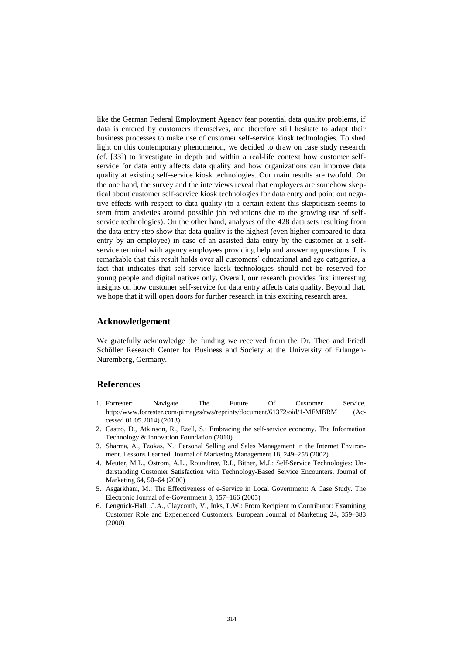like the German Federal Employment Agency fear potential data quality problems, if data is entered by customers themselves, and therefore still hesitate to adapt their business processes to make use of customer self-service kiosk technologies. To shed light on this contemporary phenomenon, we decided to draw on case study research (cf. [33]) to investigate in depth and within a real-life context how customer selfservice for data entry affects data quality and how organizations can improve data quality at existing self-service kiosk technologies. Our main results are twofold. On the one hand, the survey and the interviews reveal that employees are somehow skeptical about customer self-service kiosk technologies for data entry and point out negative effects with respect to data quality (to a certain extent this skepticism seems to stem from anxieties around possible job reductions due to the growing use of selfservice technologies). On the other hand, analyses of the 428 data sets resulting from the data entry step show that data quality is the highest (even higher compared to data entry by an employee) in case of an assisted data entry by the customer at a selfservice terminal with agency employees providing help and answering questions. It is remarkable that this result holds over all customers' educational and age categories, a fact that indicates that self-service kiosk technologies should not be reserved for young people and digital natives only. Overall, our research provides first interesting insights on how customer self-service for data entry affects data quality. Beyond that, we hope that it will open doors for further research in this exciting research area.

#### **Acknowledgement**

We gratefully acknowledge the funding we received from the Dr. Theo and Friedl Schöller Research Center for Business and Society at the University of Erlangen-Nuremberg, Germany.

#### **References**

- 1. Forrester: Navigate The Future Of Customer Service, http://www.forrester.com/pimages/rws/reprints/document/61372/oid/1-MFMBRM (Accessed 01.05.2014) (2013)
- 2. Castro, D., Atkinson, R., Ezell, S.: Embracing the self-service economy. The Information Technology & Innovation Foundation (2010)
- 3. Sharma, A., Tzokas, N.: Personal Selling and Sales Management in the Internet Environment. Lessons Learned. Journal of Marketing Management 18, 249–258 (2002)
- 4. Meuter, M.L., Ostrom, A.L., Roundtree, R.I., Bitner, M.J.: Self-Service Technologies: Understanding Customer Satisfaction with Technology-Based Service Encounters. Journal of Marketing 64, 50–64 (2000)
- 5. Asgarkhani, M.: The Effectiveness of e-Service in Local Government: A Case Study. The Electronic Journal of e-Government 3, 157–166 (2005)
- 6. Lengnick-Hall, C.A., Claycomb, V., Inks, L.W.: From Recipient to Contributor: Examining Customer Role and Experienced Customers. European Journal of Marketing 24, 359–383 (2000)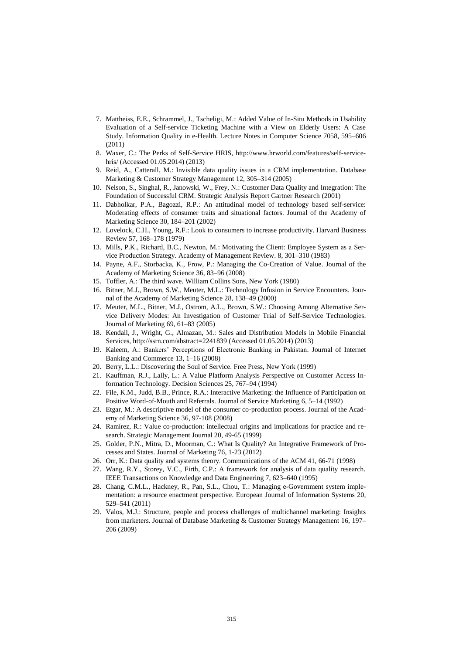- 7. Mattheiss, E.E., Schrammel, J., Tscheligi, M.: Added Value of In-Situ Methods in Usability Evaluation of a Self-service Ticketing Machine with a View on Elderly Users: A Case Study. Information Quality in e-Health. Lecture Notes in Computer Science 7058, 595–606 (2011)
- 8. Waxer, C.: The Perks of Self-Service HRIS, http://www.hrworld.com/features/self-servicehris/ (Accessed 01.05.2014) (2013)
- 9. Reid, A., Catterall, M.: Invisible data quality issues in a CRM implementation. Database Marketing & Customer Strategy Management 12, 305–314 (2005)
- 10. Nelson, S., Singhal, R., Janowski, W., Frey, N.: Customer Data Quality and Integration: The Foundation of Successful CRM. Strategic Analysis Report Gartner Research (2001)
- 11. Dabholkar, P.A., Bagozzi, R.P.: An attitudinal model of technology based self-service: Moderating effects of consumer traits and situational factors. Journal of the Academy of Marketing Science 30, 184–201 (2002)
- 12. Lovelock, C.H., Young, R.F.: Look to consumers to increase productivity. Harvard Business Review 57, 168–178 (1979)
- 13. Mills, P.K., Richard, B.C., Newton, M.: Motivating the Client: Employee System as a Service Production Strategy. Academy of Management Review. 8, 301–310 (1983)
- 14. Payne, A.F., Storbacka, K., Frow, P.: Managing the Co-Creation of Value. Journal of the Academy of Marketing Science 36, 83–96 (2008)
- 15. Toffler, A.: The third wave. William Collins Sons, New York (1980)
- 16. Bitner, M.J., Brown, S.W., Meuter, M.L.: Technology Infusion in Service Encounters. Journal of the Academy of Marketing Science 28, 138–49 (2000)
- 17. Meuter, M.L., Bitner, M.J., Ostrom, A.L., Brown, S.W.: Choosing Among Alternative Service Delivery Modes: An Investigation of Customer Trial of Self-Service Technologies. Journal of Marketing 69, 61–83 (2005)
- 18. Kendall, J., Wright, G., Almazan, M.: Sales and Distribution Models in Mobile Financial Services, http://ssrn.com/abstract=2241839 (Accessed 01.05.2014) (2013)
- 19. Kaleem, A.: Bankers' Perceptions of Electronic Banking in Pakistan. Journal of Internet Banking and Commerce 13, 1–16 (2008)
- 20. Berry, L.L.: Discovering the Soul of Service. Free Press, New York (1999)
- 21. Kauffman, R.J., Lally, L.: A Value Platform Analysis Perspective on Customer Access Information Technology. Decision Sciences 25, 767–94 (1994)
- 22. File, K.M., Judd, B.B., Prince, R.A.: Interactive Marketing: the Influence of Participation on Positive Word-of-Mouth and Referrals. Journal of Service Marketing 6, 5–14 (1992)
- 23. Etgar, M.: A descriptive model of the consumer co-production process. Journal of the Academy of Marketing Science 36, 97-108 (2008)
- 24. Ramírez, R.: Value co-production: intellectual origins and implications for practice and research. Strategic Management Journal 20, 49-65 (1999)
- 25. Golder, P.N., Mitra, D., Moorman, C.: What Is Quality? An Integrative Framework of Processes and States. Journal of Marketing 76, 1-23 (2012)
- 26. Orr, K.: Data quality and systems theory. Communications of the ACM 41, 66-71 (1998)
- 27. Wang, R.Y., Storey, V.C., Firth, C.P.: A framework for analysis of data quality research. IEEE Transactions on Knowledge and Data Engineering 7, 623–640 (1995)
- 28. Chang, C.M.L., Hackney, R., Pan, S.L., Chou, T.: Managing e-Government system implementation: a resource enactment perspective. European Journal of Information Systems 20, 529–541 (2011)
- 29. Valos, M.J.: Structure, people and process challenges of multichannel marketing: Insights from marketers. Journal of Database Marketing & Customer Strategy Management 16, 197– 206 (2009)